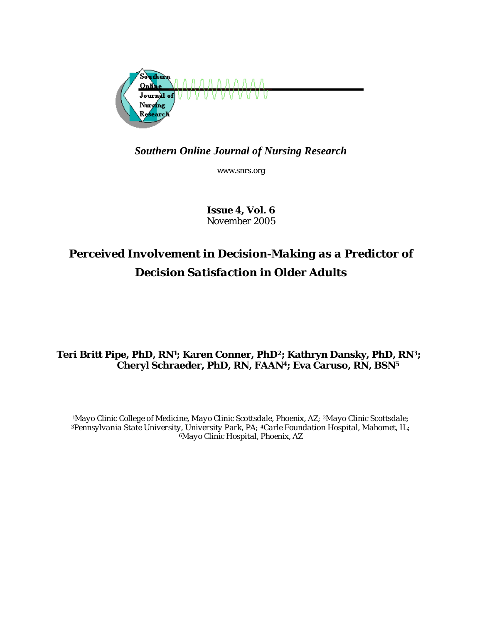

# *Southern Online Journal of Nursing Research*

www.snrs.org

*Issue 4, Vol. 6 November 2005* 

# *Perceived Involvement in Decision-Making as a Predictor of Decision Satisfaction in Older Adults*

# **Teri Britt Pipe, PhD, RN1; Karen Conner, PhD2; Kathryn Dansky, PhD, RN3; Cheryl Schraeder, PhD, RN, FAAN4; Eva Caruso, RN, BSN5**

*1Mayo Clinic College of Medicine, Mayo Clinic Scottsdale, Phoenix, AZ; 2Mayo Clinic Scottsdale; 3Pennsylvania State University, University Park, PA; 4Carle Foundation Hospital, Mahomet, IL; 6Mayo Clinic Hospital, Phoenix, AZ*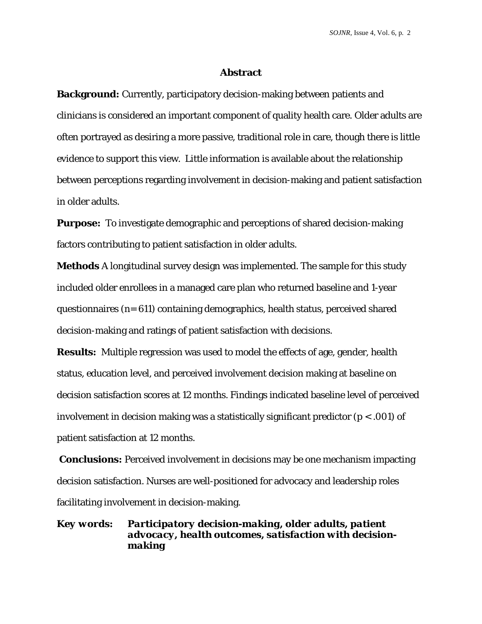*SOJNR,* Issue 4, Vol. 6, p*.* 2

#### **Abstract**

**Background:** Currently, participatory decision-making between patients and clinicians is considered an important component of quality health care. Older adults are often portrayed as desiring a more passive, traditional role in care, though there is little evidence to support this view. Little information is available about the relationship between perceptions regarding involvement in decision-making and patient satisfaction in older adults.

**Purpose:** To investigate demographic and perceptions of shared decision-making factors contributing to patient satisfaction in older adults.

**Methods** A longitudinal survey design was implemented. The sample for this study included older enrollees in a managed care plan who returned baseline and 1-year questionnaires (n= 611) containing demographics, health status, perceived shared decision-making and ratings of patient satisfaction with decisions.

**Results:** Multiple regression was used to model the effects of age, gender, health status, education level, and perceived involvement decision making at baseline on decision satisfaction scores at 12 months. Findings indicated baseline level of perceived involvement in decision making was a statistically significant predictor (*p <* .001) of patient satisfaction at 12 months.

 **Conclusions:** Perceived involvement in decisions may be one mechanism impacting decision satisfaction. Nurses are well-positioned for advocacy and leadership roles facilitating involvement in decision-making.

*Key words: Participatory decision-making, older adults, patient advocacy, health outcomes, satisfaction with decisionmaking*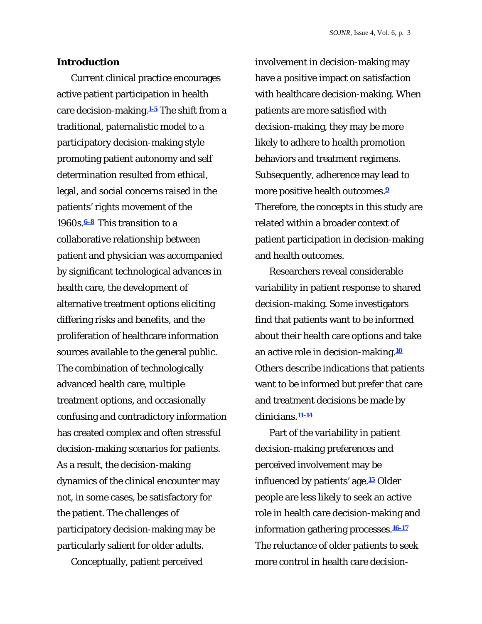#### **Introduction**

Current clinical practice encourages active patient participation in health care decision-making.**1-5** The shift from a traditional, paternalistic model to a participatory decision-making style promoting patient autonomy and self determination resulted from ethical, legal, and social concerns raised in the patients' rights movement of the 1960s.**6-8** This transition to a collaborative relationship between patient and physician was accompanied by significant technological advances in health care, the development of alternative treatment options eliciting differing risks and benefits, and the proliferation of healthcare information sources available to the general public. The combination of technologically advanced health care, multiple treatment options, and occasionally confusing and contradictory information has created complex and often stressful decision-making scenarios for patients. As a result, the decision-making dynamics of the clinical encounter may not, in some cases, be satisfactory for the patient. The challenges of participatory decision-making may be particularly salient for older adults.

Conceptually, patient perceived

involvement in decision-making may have a positive impact on satisfaction with healthcare decision-making. When patients are more satisfied with decision-making, they may be more likely to adhere to health promotion behaviors and treatment regimens. Subsequently, adherence may lead to more positive health outcomes.**<sup>9</sup>** Therefore, the concepts in this study are related within a broader context of patient participation in decision-making and health outcomes.

Researchers reveal considerable variability in patient response to shared decision-making. Some investigators find that patients want to be informed about their health care options and take an active role in decision-making.**<sup>10</sup>** Others describe indications that patients want to be informed but prefer that care and treatment decisions be made by clinicians.**11-14**

Part of the variability in patient decision-making preferences and perceived involvement may be influenced by patients' age.**15** Older people are less likely to seek an active role in health care decision-making and information gathering processes.**16-17** The reluctance of older patients to seek more control in health care decision-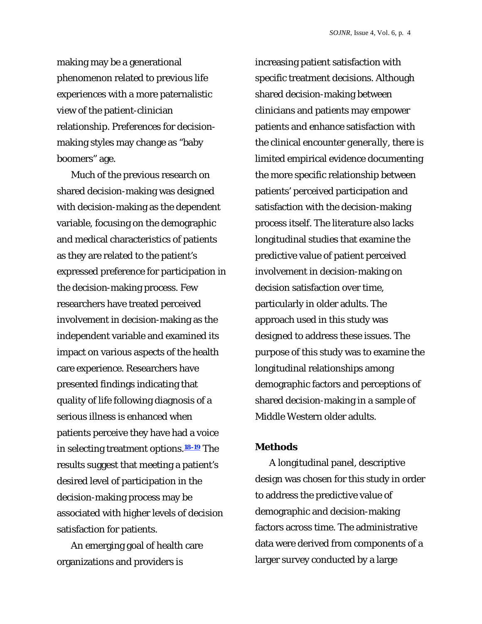making may be a generational phenomenon related to previous life experiences with a more paternalistic view of the patient-clinician relationship. Preferences for decisionmaking styles may change as "baby boomers" age.

Much of the previous research on shared decision-making was designed with decision-making as the dependent variable, focusing on the demographic and medical characteristics of patients as they are related to the patient's expressed preference for participation in the decision-making process. Few researchers have treated perceived involvement in decision-making as the independent variable and examined its impact on various aspects of the health care experience. Researchers have presented findings indicating that quality of life following diagnosis of a serious illness is enhanced when patients perceive they have had a voice in selecting treatment options.**18-19** The results suggest that meeting a patient's desired level of participation in the decision-making process may be associated with higher levels of decision satisfaction for patients.

An emerging goal of health care organizations and providers is

increasing patient satisfaction with specific treatment decisions. Although shared decision-making between clinicians and patients may empower patients and enhance satisfaction with the clinical encounter *generally*, there is limited empirical evidence documenting the more specific relationship between patients' perceived participation and satisfaction with the decision-making process itself. The literature also lacks longitudinal studies that examine the predictive value of patient perceived involvement in decision-making on decision satisfaction over time, particularly in older adults. The approach used in this study was designed to address these issues. The purpose of this study was to examine the longitudinal relationships among demographic factors and perceptions of shared decision-making in a sample of Middle Western older adults.

#### **Methods**

A longitudinal panel, descriptive design was chosen for this study in order to address the predictive value of demographic and decision-making factors across time. The administrative data were derived from components of a larger survey conducted by a large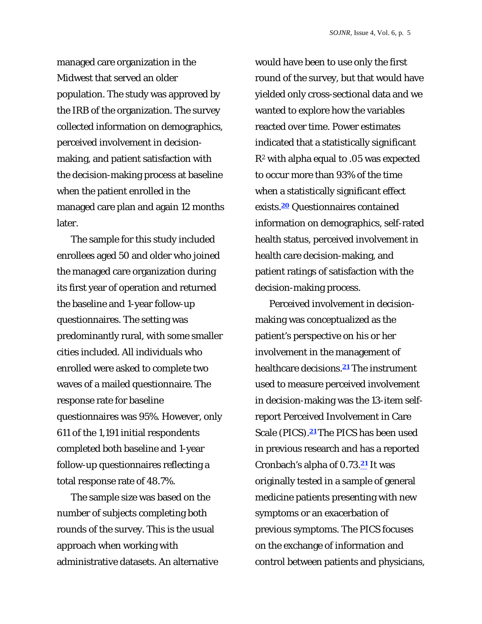managed care organization in the Midwest that served an older population. The study was approved by the IRB of the organization. The survey collected information on demographics, perceived involvement in decisionmaking, and patient satisfaction with the decision-making process at baseline when the patient enrolled in the managed care plan and again 12 months later.

The sample for this study included enrollees aged 50 and older who joined the managed care organization during its first year of operation and returned the baseline and 1-year follow-up questionnaires. The setting was predominantly rural, with some smaller cities included. All individuals who enrolled were asked to complete two waves of a mailed questionnaire. The response rate for baseline questionnaires was 95%. However, only 611 of the 1,191 initial respondents completed both baseline and 1-year follow-up questionnaires reflecting a total response rate of 48.7%.

The sample size was based on the number of subjects completing both rounds of the survey. This is the usual approach when working with administrative datasets. An alternative would have been to use only the first round of the survey, but that would have yielded only cross-sectional data and we wanted to explore how the variables reacted over time. Power estimates indicated that a statistically significant *R2* with alpha equal to .05 was expected to occur more than 93% of the time when a statistically significant effect exists.**20** Questionnaires contained information on demographics, self-rated health status, perceived involvement in health care decision-making, and patient ratings of satisfaction with the decision-making process.

Perceived involvement in decisionmaking was conceptualized as the patient's perspective on his or her involvement in the management of healthcare decisions.**21** The instrument used to measure perceived involvement in decision-making was the 13-item selfreport Perceived Involvement in Care Scale (PICS).**21** The PICS has been used in previous research and has a reported Cronbach's alpha of 0.73.**21** It was originally tested in a sample of general medicine patients presenting with new symptoms or an exacerbation of previous symptoms. The PICS focuses on the exchange of information and control between patients and physicians,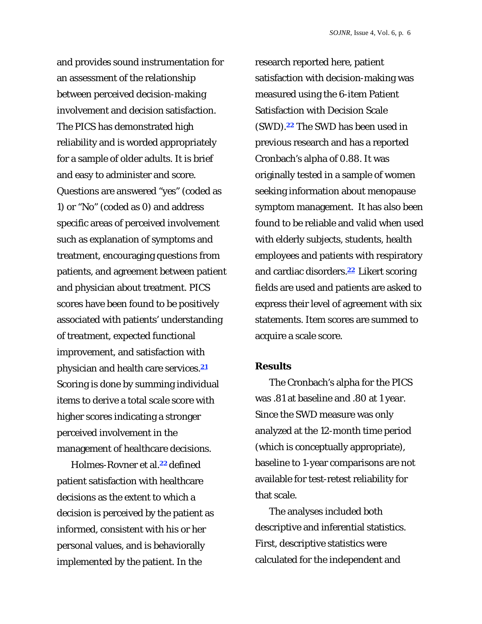and provides sound instrumentation for an assessment of the relationship between perceived decision-making involvement and decision satisfaction. The PICS has demonstrated high reliability and is worded appropriately for a sample of older adults. It is brief and easy to administer and score. Questions are answered "yes" (coded as 1) or "No" (coded as 0) and address specific areas of perceived involvement such as explanation of symptoms and treatment, encouraging questions from patients, and agreement between patient and physician about treatment. PICS scores have been found to be positively associated with patients' understanding of treatment, expected functional improvement, and satisfaction with physician and health care services.**<sup>21</sup>** Scoring is done by summing individual items to derive a total scale score with higher scores indicating a stronger perceived involvement in the management of healthcare decisions.

Holmes-Rovner et al.**22** defined patient satisfaction with healthcare decisions as the extent to which a decision is perceived by the patient as informed, consistent with his or her personal values, and is behaviorally implemented by the patient. In the

research reported here, patient satisfaction with decision-making was measured using the 6-item Patient Satisfaction with Decision Scale (SWD).**22** The SWD has been used in previous research and has a reported Cronbach's alpha of 0.88. It was originally tested in a sample of women seeking information about menopause symptom management. It has also been found to be reliable and valid when used with elderly subjects, students, health employees and patients with respiratory and cardiac disorders.**22** Likert scoring fields are used and patients are asked to express their level of agreement with six statements. Item scores are summed to acquire a scale score.

#### **Results**

The Cronbach's alpha for the PICS was .81 at baseline and .80 at 1 year. Since the SWD measure was only analyzed at the 12-month time period (which is conceptually appropriate), baseline to 1-year comparisons are not available for test-retest reliability for that scale.

The analyses included both descriptive and inferential statistics. First, descriptive statistics were calculated for the independent and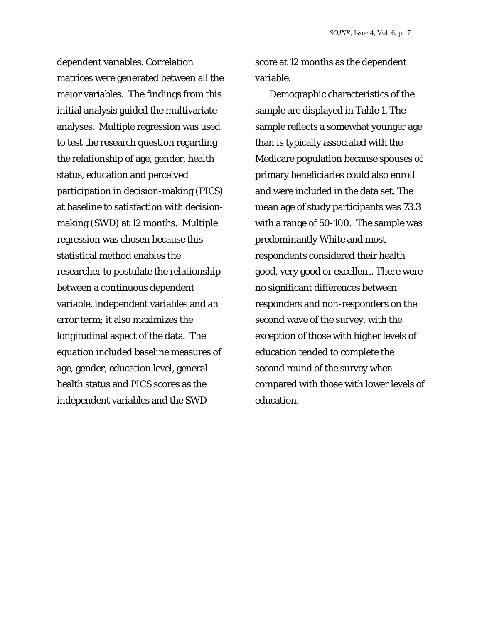dependent variables. Correlation matrices were generated between all the major variables. The findings from this initial analysis guided the multivariate analyses. Multiple regression was used to test the research question regarding the relationship of age, gender, health status, education and perceived participation in decision-making (PICS) at baseline to satisfaction with decisionmaking (SWD) at 12 months. Multiple regression was chosen because this statistical method enables the researcher to postulate the relationship between a continuous dependent variable, independent variables and an error term; it also maximizes the longitudinal aspect of the data. The equation included baseline measures of age, gender, education level, general health status and PICS scores as the independent variables and the SWD

score at 12 months as the dependent variable.

Demographic characteristics of the sample are displayed in Table 1. The sample reflects a somewhat younger age than is typically associated with the Medicare population because spouses of primary beneficiaries could also enroll and were included in the data set. The mean age of study participants was 73.3 with a range of 50-100. The sample was predominantly White and most respondents considered their health good, very good or excellent. There were no significant differences between responders and non-responders on the second wave of the survey, with the exception of those with higher levels of education tended to complete the second round of the survey when compared with those with lower levels of education.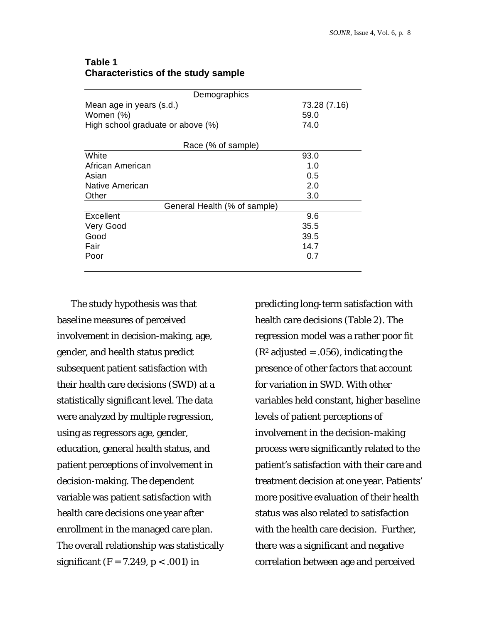## **Table 1 Characteristics of the study sample**

| Demographics                      |              |
|-----------------------------------|--------------|
| Mean age in years (s.d.)          | 73.28 (7.16) |
| Women (%)                         | 59.0         |
| High school graduate or above (%) | 74.0         |
| Race (% of sample)                |              |
| White                             | 93.0         |
| African American                  | 1.0          |
| Asian                             | 0.5          |
| Native American                   | 2.0          |
| Other                             | 3.0          |
| General Health (% of sample)      |              |
| Excellent                         | 9.6          |
| Very Good                         | 35.5         |
| Good                              | 39.5         |
| Fair                              | 14.7         |
| Poor                              | 0.7          |
|                                   |              |

The study hypothesis was that baseline measures of perceived involvement in decision-making, age, gender, and health status predict subsequent patient satisfaction with their health care decisions (SWD) at a statistically significant level. The data were analyzed by multiple regression, using as regressors age, gender, education, general health status, and patient perceptions of involvement in decision-making. The dependent variable was patient satisfaction with health care decisions one year after enrollment in the managed care plan. The overall relationship was statistically significant (F = 7.249, *p <* .001) in

predicting long-term satisfaction with health care decisions (Table 2). The regression model was a rather poor fit  $(R<sup>2</sup>$  adjusted = .056), indicating the presence of other factors that account for variation in SWD. With other variables held constant, higher baseline levels of patient perceptions of involvement in the decision-making process were significantly related to the patient's satisfaction with their care and treatment decision at one year. Patients' more positive evaluation of their health status was also related to satisfaction with the health care decision. Further, there was a significant and negative correlation between age and perceived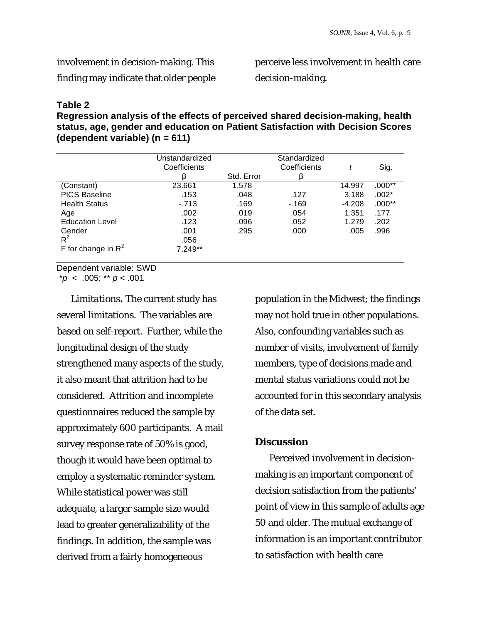involvement in decision-making. This

finding may indicate that older people

perceive less involvement in health care

decision-making.

## **Table 2**

**Regression analysis of the effects of perceived shared decision-making, health status, age, gender and education on Patient Satisfaction with Decision Scores (dependent variable) (n = 611)** 

|                        | Unstandardized<br>Coefficients |            | Standardized<br>Coefficients |          | Sig.     |
|------------------------|--------------------------------|------------|------------------------------|----------|----------|
|                        | ß                              | Std. Error | β                            |          |          |
| (Constant)             | 23.661                         | 1.578      |                              | 14.997   | $.000**$ |
| <b>PICS Baseline</b>   | .153                           | .048       | .127                         | 3.188    | $.002*$  |
| <b>Health Status</b>   | $-.713$                        | .169       | $-169$                       | $-4.208$ | $.000**$ |
| Age                    | .002                           | .019       | .054                         | 1.351    | .177     |
| <b>Education Level</b> | .123                           | .096       | .052                         | 1.279    | .202     |
| Gender<br>$R^2$        | .001<br>.056                   | .295       | .000                         | .005     | .996     |
| F for change in $R^2$  | 7.249**                        |            |                              |          |          |

Dependent variable: SWD

\**p* < .005; \*\* *p <* .001

*Limitations.* The current study has several limitations. The variables are based on self-report. Further, while the longitudinal design of the study strengthened many aspects of the study, it also meant that attrition had to be considered. Attrition and incomplete questionnaires reduced the sample by approximately 600 participants. A mail survey response rate of 50% is good, though it would have been optimal to employ a systematic reminder system. While statistical power was still adequate, a larger sample size would lead to greater generalizability of the findings. In addition, the sample was derived from a fairly homogeneous

population in the Midwest; the findings may not hold true in other populations. Also, confounding variables such as number of visits, involvement of family members, type of decisions made and mental status variations could not be accounted for in this secondary analysis of the data set.

# **Discussion**

Perceived involvement in decisionmaking is an important component of decision satisfaction from the patients' point of view in this sample of adults age 50 and older. The mutual exchange of information is an important contributor to satisfaction with health care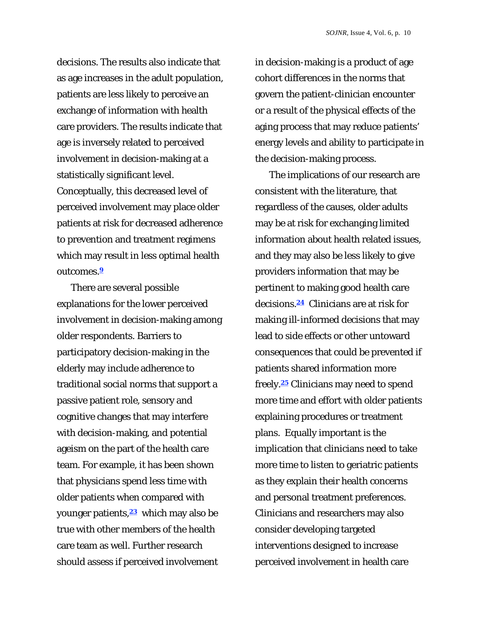decisions. The results also indicate that as age increases in the adult population, patients are less likely to perceive an exchange of information with health care providers. The results indicate that age is inversely related to perceived involvement in decision-making at a statistically significant level. Conceptually, this decreased level of perceived involvement may place older patients at risk for decreased adherence to prevention and treatment regimens which may result in less optimal health outcomes.**<sup>9</sup>**

There are several possible explanations for the lower perceived involvement in decision-making among older respondents. Barriers to participatory decision-making in the elderly may include adherence to traditional social norms that support a passive patient role, sensory and cognitive changes that may interfere with decision-making, and potential ageism on the part of the health care team. For example, it has been shown that physicians spend less time with older patients when compared with younger patients,**23** which may also be true with other members of the health care team as well. Further research should assess if perceived involvement

in decision-making is a product of age cohort differences in the norms that govern the patient-clinician encounter or a result of the physical effects of the aging process that may reduce patients' energy levels and ability to participate in the decision-making process.

The implications of our research are consistent with the literature, that regardless of the causes, older adults may be at risk for exchanging limited information about health related issues, and they may also be less likely to give providers information that may be pertinent to making good health care decisions.**24** Clinicians are at risk for making ill-informed decisions that may lead to side effects or other untoward consequences that could be prevented if patients shared information more freely.**25** Clinicians may need to spend more time and effort with older patients explaining procedures or treatment plans. Equally important is the implication that clinicians need to take more time to listen to geriatric patients as they explain their health concerns and personal treatment preferences. Clinicians and researchers may also consider developing targeted interventions designed to increase perceived involvement in health care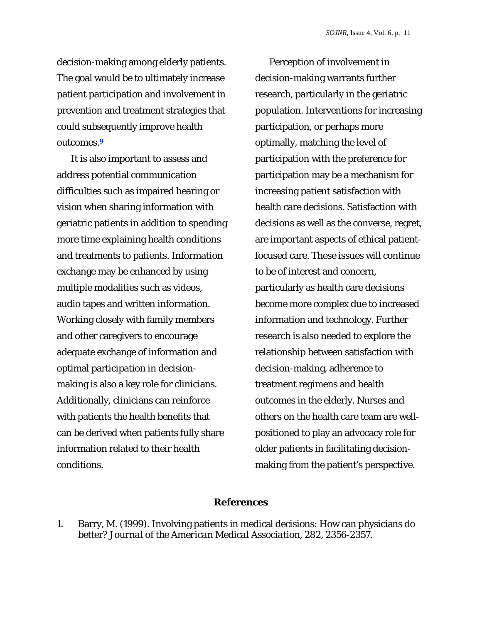decision-making among elderly patients. The goal would be to ultimately increase patient participation and involvement in prevention and treatment strategies that could subsequently improve health outcomes.**<sup>9</sup>**

It is also important to assess and address potential communication difficulties such as impaired hearing or vision when sharing information with geriatric patients in addition to spending more time explaining health conditions and treatments to patients. Information exchange may be enhanced by using multiple modalities such as videos, audio tapes and written information. Working closely with family members and other caregivers to encourage adequate exchange of information and optimal participation in decisionmaking is also a key role for clinicians. Additionally, clinicians can reinforce with patients the health benefits that can be derived when patients fully share information related to their health conditions.

Perception of involvement in decision-making warrants further research, particularly in the geriatric population. Interventions for increasing participation, or perhaps more optimally, matching the level of participation with the preference for participation may be a mechanism for increasing patient satisfaction with health care decisions. Satisfaction with decisions as well as the converse, regret, are important aspects of ethical patientfocused care. These issues will continue to be of interest and concern, particularly as health care decisions become more complex due to increased information and technology. Further research is also needed to explore the relationship between satisfaction with decision-making, adherence to treatment regimens and health outcomes in the elderly. Nurses and others on the health care team are wellpositioned to play an advocacy role for older patients in facilitating decisionmaking from the patient's perspective.

## **References**

1. Barry, M. (1999). Involving patients in medical decisions: How can physicians do better? *Journal of the American Medical Association, 282*, 2356-2357.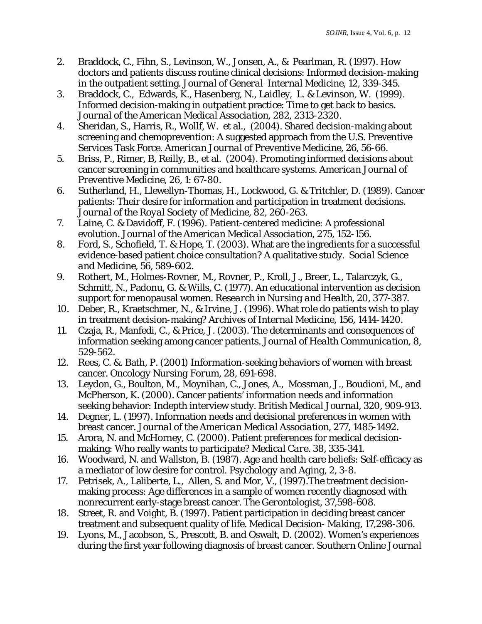- 2. Braddock, C., Fihn, S., Levinson, W., Jonsen, A., & Pearlman, R. (1997). How doctors and patients discuss routine clinical decisions: Informed decision-making in the outpatient setting. *Journal of General Internal Medicine, 12,* 339-345.
- 3. Braddock, C., Edwards, K., Hasenberg, N., Laidley, L. & Levinson, W. (1999). Informed decision-making in outpatient practice: Time to get back to basics. *Journal of the American Medical Association, 282*, 2313-2320.
- 4. Sheridan, S., Harris, R., Wollf, W. et al., (2004). Shared decision-making about screening and chemoprevention: A suggested approach from the U.S. Preventive Services Task Force. *American Journal of Preventive Medicine, 26*, 56-66.
- 5. Briss, P., Rimer, B, Reilly, B., et al. (2004). Promoting informed decisions about cancer screening in communities and healthcare systems*. American Journal of Preventive Medicine, 26*, 1: 67-80.
- 6. Sutherland, H., Llewellyn-Thomas, H., Lockwood, G. & Tritchler, D. (1989). Cancer patients: Their desire for information and participation in treatment decisions. *Journal of the Royal Society of Medicine, 82*, 260-263.
- 7. Laine, C. & Davidoff, F. (1996). Patient-centered medicine: A professional evolution. *Journal of the American Medical Association, 275*, 152-156.
- 8. Ford, S., Schofield, T. & Hope, T. (2003). What are the ingredients for a successful evidence-based patient choice consultation? A qualitative study. *Social Science and Medicine, 56*, 589-602.
- 9.Rothert, M., Holmes-Rovner, M., Rovner, P., Kroll, J., Breer, L., Talarczyk, G., Schmitt, N., Padonu, G. & Wills, C. (1977). An educational intervention as decision support for menopausal women. *Research in Nursing and Health, 20,* 377-387.
- 10. Deber, R., Kraetschmer, N., & Irvine, J. (1996). What role do patients wish to play in treatment decision-making? *Archives of Internal Medicine, 156*, 1414-1420.
- 11. Czaja, R., Manfedi, C., & Price, J. (2003). The determinants and consequences of information seeking among cancer patients. *Journal of Health Communication, 8,*  529-562.
- 12. Rees, C. &. Bath, P. (2001) Information-seeking behaviors of women with breast cancer. *Oncology Nursing Forum, 28*, 691-698.
- 13. Leydon, G., Boulton, M., Moynihan, C., Jones, A., Mossman, J., Boudioni, M., and McPherson, K. (2000). Cancer patients' information needs and information seeking behavior: Indepth interview study. *British Medical Journal, 320*, 909-913.
- 14. Degner, L. (1997). Information needs and decisional preferences in women with breast cancer. *Journal of the American Medical Association, 277,* 1485-1492.
- 15. Arora, N. and McHorney, C. (2000). Patient preferences for medical decisionmaking: Who really wants to participate? *Medical Care. 38*, 335-341.
- 16. Woodward, N. and Wallston, B. (1987). Age and health care beliefs: Self-efficacy as a mediator of low desire for control. *Psychology and Aging, 2*, 3-8.
- 17. Petrisek, A., Laliberte, L., Allen, S. and Mor, V., (1997).The treatment decisionmaking process: Age differences in a sample of women recently diagnosed with nonrecurrent early-stage breast cancer. *The Gerontologist*, *37*,598-608.
- 18. Street, R. and Voight, B. (1997). Patient participation in deciding breast cancer treatment and subsequent quality of life. *Medical Decision- Making*, *17*,298-306.
- 19. Lyons, M., Jacobson, S., Prescott, B. and Oswalt, D. (2002). Women's experiences during the first year following diagnosis of breast cancer*. Southern Online Journal*